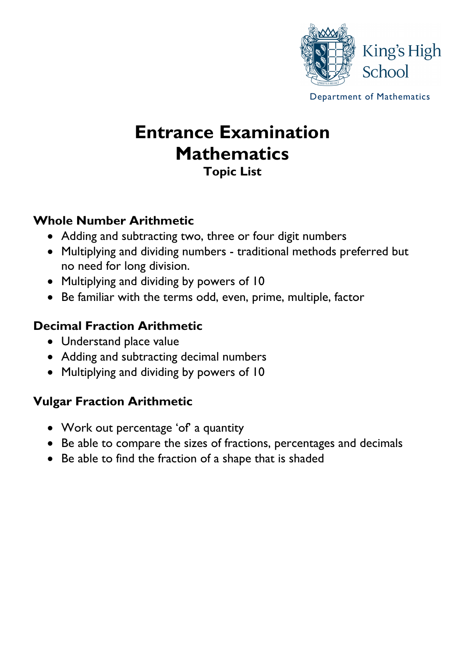

Department of Mathematics

# **Entrance Examination Mathematics Topic List**

### **Whole Number Arithmetic**

- Adding and subtracting two, three or four digit numbers
- Multiplying and dividing numbers traditional methods preferred but no need for long division.
- Multiplying and dividing by powers of 10
- Be familiar with the terms odd, even, prime, multiple, factor

### **Decimal Fraction Arithmetic**

- Understand place value
- Adding and subtracting decimal numbers
- Multiplying and dividing by powers of 10

## **Vulgar Fraction Arithmetic**

- Work out percentage 'of' a quantity
- Be able to compare the sizes of fractions, percentages and decimals
- Be able to find the fraction of a shape that is shaded